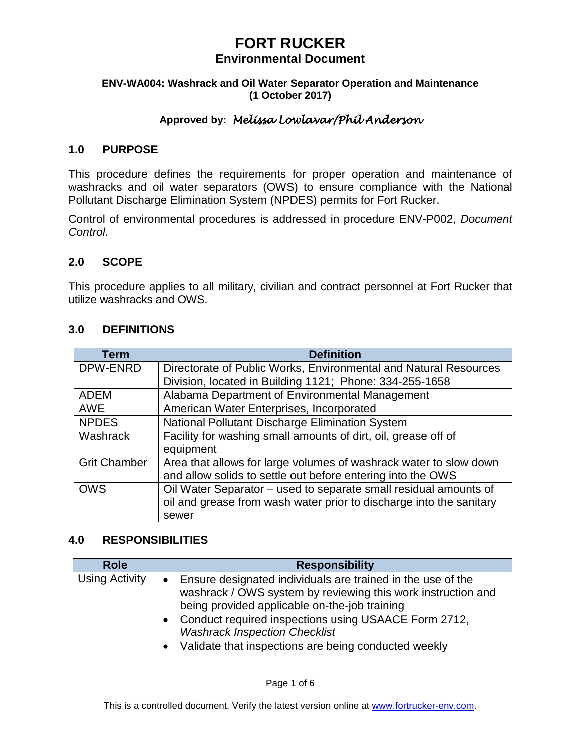#### **ENV-WA004: Washrack and Oil Water Separator Operation and Maintenance (1 October 2017)**

## **Approved by:** *Melissa Lowlavar/Phil Anderson*

### **1.0 PURPOSE**

This procedure defines the requirements for proper operation and maintenance of washracks and oil water separators (OWS) to ensure compliance with the National Pollutant Discharge Elimination System (NPDES) permits for Fort Rucker.

Control of environmental procedures is addressed in procedure ENV-P002, *Document Control*.

### **2.0 SCOPE**

This procedure applies to all military, civilian and contract personnel at Fort Rucker that utilize washracks and OWS.

#### **3.0 DEFINITIONS**

| <b>Term</b>         | <b>Definition</b>                                                   |
|---------------------|---------------------------------------------------------------------|
| DPW-ENRD            | Directorate of Public Works, Environmental and Natural Resources    |
|                     | Division, located in Building 1121; Phone: 334-255-1658             |
| <b>ADEM</b>         | Alabama Department of Environmental Management                      |
| <b>AWE</b>          | American Water Enterprises, Incorporated                            |
| <b>NPDES</b>        | National Pollutant Discharge Elimination System                     |
| Washrack            | Facility for washing small amounts of dirt, oil, grease off of      |
|                     | equipment                                                           |
| <b>Grit Chamber</b> | Area that allows for large volumes of washrack water to slow down   |
|                     | and allow solids to settle out before entering into the OWS         |
| <b>OWS</b>          | Oil Water Separator - used to separate small residual amounts of    |
|                     | oil and grease from wash water prior to discharge into the sanitary |
|                     | sewer                                                               |

### **4.0 RESPONSIBILITIES**

| <b>Role</b>           | <b>Responsibility</b>                                                                                                                                                                                                                                                                                                                |
|-----------------------|--------------------------------------------------------------------------------------------------------------------------------------------------------------------------------------------------------------------------------------------------------------------------------------------------------------------------------------|
| <b>Using Activity</b> | Ensure designated individuals are trained in the use of the<br>washrack / OWS system by reviewing this work instruction and<br>being provided applicable on-the-job training<br>Conduct required inspections using USAACE Form 2712,<br><b>Washrack Inspection Checklist</b><br>Validate that inspections are being conducted weekly |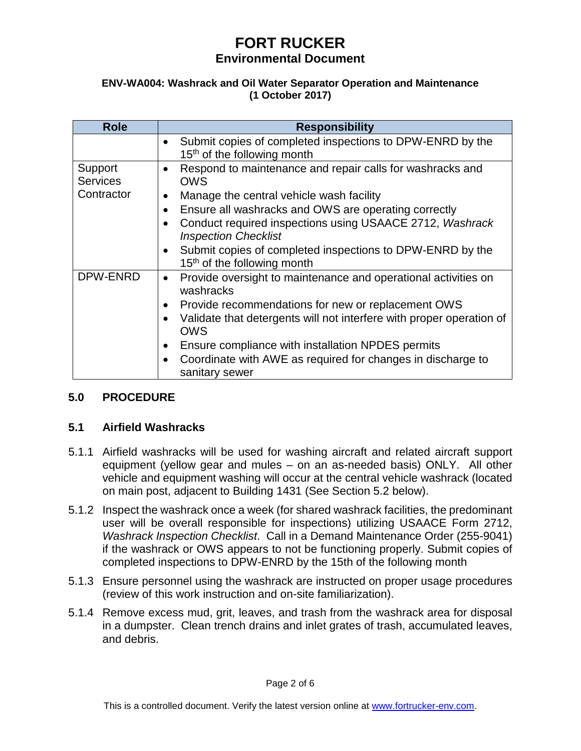#### **ENV-WA004: Washrack and Oil Water Separator Operation and Maintenance (1 October 2017)**

| <b>Role</b>                              | <b>Responsibility</b>                                                                                                                                                     |
|------------------------------------------|---------------------------------------------------------------------------------------------------------------------------------------------------------------------------|
|                                          | Submit copies of completed inspections to DPW-ENRD by the<br>15 <sup>th</sup> of the following month                                                                      |
| Support<br><b>Services</b><br>Contractor | Respond to maintenance and repair calls for washracks and<br>$\bullet$<br><b>OWS</b>                                                                                      |
|                                          | Manage the central vehicle wash facility<br>$\bullet$<br>Ensure all washracks and OWS are operating correctly<br>Conduct required inspections using USAACE 2712, Washrack |
|                                          | <b>Inspection Checklist</b><br>Submit copies of completed inspections to DPW-ENRD by the<br>15 <sup>th</sup> of the following month                                       |
| DPW-ENRD                                 | Provide oversight to maintenance and operational activities on<br>$\bullet$<br>washracks                                                                                  |
|                                          | Provide recommendations for new or replacement OWS<br>$\bullet$<br>Validate that detergents will not interfere with proper operation of<br><b>OWS</b>                     |
|                                          | Ensure compliance with installation NPDES permits<br>Coordinate with AWE as required for changes in discharge to<br>sanitary sewer                                        |

## **5.0 PROCEDURE**

## **5.1 Airfield Washracks**

- 5.1.1 Airfield washracks will be used for washing aircraft and related aircraft support equipment (yellow gear and mules – on an as-needed basis) ONLY. All other vehicle and equipment washing will occur at the central vehicle washrack (located on main post, adjacent to Building 1431 (See Section 5.2 below).
- 5.1.2 Inspect the washrack once a week (for shared washrack facilities, the predominant user will be overall responsible for inspections) utilizing USAACE Form 2712, *Washrack Inspection Checklist*. Call in a Demand Maintenance Order (255-9041) if the washrack or OWS appears to not be functioning properly. Submit copies of completed inspections to DPW-ENRD by the 15th of the following month
- 5.1.3 Ensure personnel using the washrack are instructed on proper usage procedures (review of this work instruction and on-site familiarization).
- 5.1.4 Remove excess mud, grit, leaves, and trash from the washrack area for disposal in a dumpster. Clean trench drains and inlet grates of trash, accumulated leaves, and debris.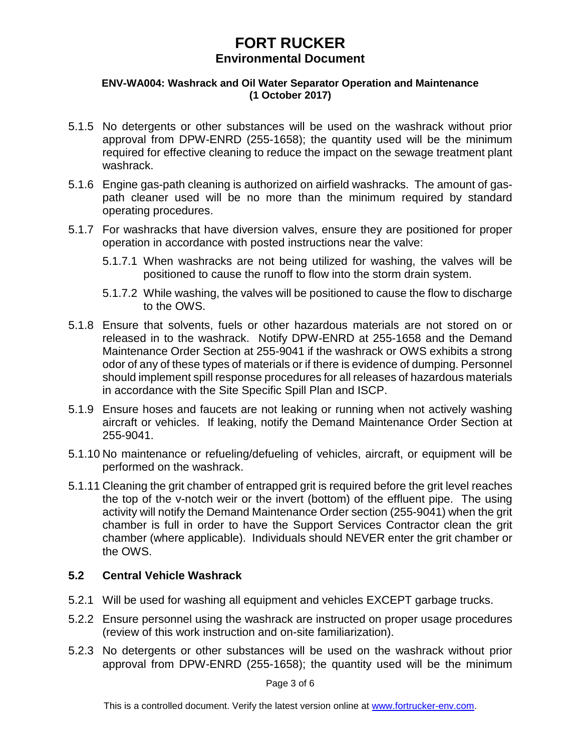#### **ENV-WA004: Washrack and Oil Water Separator Operation and Maintenance (1 October 2017)**

- 5.1.5 No detergents or other substances will be used on the washrack without prior approval from DPW-ENRD (255-1658); the quantity used will be the minimum required for effective cleaning to reduce the impact on the sewage treatment plant washrack.
- 5.1.6 Engine gas-path cleaning is authorized on airfield washracks. The amount of gaspath cleaner used will be no more than the minimum required by standard operating procedures.
- 5.1.7 For washracks that have diversion valves, ensure they are positioned for proper operation in accordance with posted instructions near the valve:
	- 5.1.7.1 When washracks are not being utilized for washing, the valves will be positioned to cause the runoff to flow into the storm drain system.
	- 5.1.7.2 While washing, the valves will be positioned to cause the flow to discharge to the OWS.
- 5.1.8 Ensure that solvents, fuels or other hazardous materials are not stored on or released in to the washrack. Notify DPW-ENRD at 255-1658 and the Demand Maintenance Order Section at 255-9041 if the washrack or OWS exhibits a strong odor of any of these types of materials or if there is evidence of dumping. Personnel should implement spill response procedures for all releases of hazardous materials in accordance with the Site Specific Spill Plan and ISCP.
- 5.1.9 Ensure hoses and faucets are not leaking or running when not actively washing aircraft or vehicles. If leaking, notify the Demand Maintenance Order Section at 255-9041.
- 5.1.10 No maintenance or refueling/defueling of vehicles, aircraft, or equipment will be performed on the washrack.
- 5.1.11 Cleaning the grit chamber of entrapped grit is required before the grit level reaches the top of the v-notch weir or the invert (bottom) of the effluent pipe. The using activity will notify the Demand Maintenance Order section (255-9041) when the grit chamber is full in order to have the Support Services Contractor clean the grit chamber (where applicable). Individuals should NEVER enter the grit chamber or the OWS.

### **5.2 Central Vehicle Washrack**

- 5.2.1 Will be used for washing all equipment and vehicles EXCEPT garbage trucks.
- 5.2.2 Ensure personnel using the washrack are instructed on proper usage procedures (review of this work instruction and on-site familiarization).
- 5.2.3 No detergents or other substances will be used on the washrack without prior approval from DPW-ENRD (255-1658); the quantity used will be the minimum

Page 3 of 6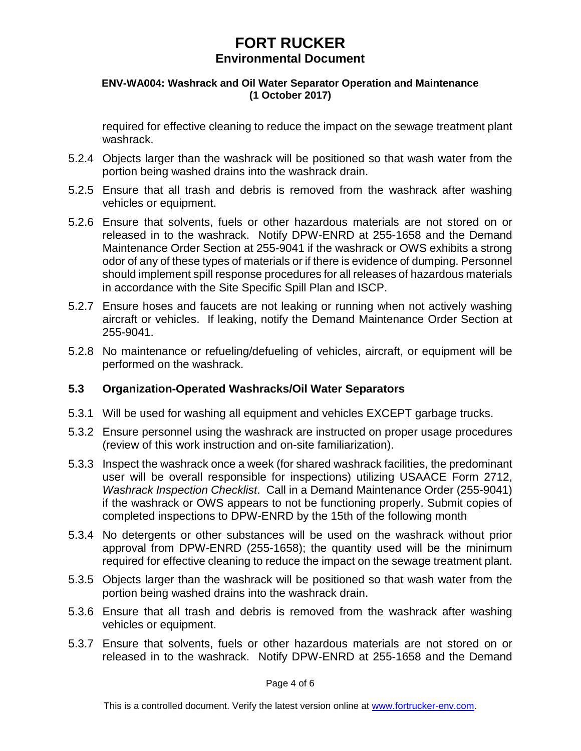#### **ENV-WA004: Washrack and Oil Water Separator Operation and Maintenance (1 October 2017)**

required for effective cleaning to reduce the impact on the sewage treatment plant washrack.

- 5.2.4 Objects larger than the washrack will be positioned so that wash water from the portion being washed drains into the washrack drain.
- 5.2.5 Ensure that all trash and debris is removed from the washrack after washing vehicles or equipment.
- 5.2.6 Ensure that solvents, fuels or other hazardous materials are not stored on or released in to the washrack. Notify DPW-ENRD at 255-1658 and the Demand Maintenance Order Section at 255-9041 if the washrack or OWS exhibits a strong odor of any of these types of materials or if there is evidence of dumping. Personnel should implement spill response procedures for all releases of hazardous materials in accordance with the Site Specific Spill Plan and ISCP.
- 5.2.7 Ensure hoses and faucets are not leaking or running when not actively washing aircraft or vehicles. If leaking, notify the Demand Maintenance Order Section at 255-9041.
- 5.2.8 No maintenance or refueling/defueling of vehicles, aircraft, or equipment will be performed on the washrack.

### **5.3 Organization-Operated Washracks/Oil Water Separators**

- 5.3.1 Will be used for washing all equipment and vehicles EXCEPT garbage trucks.
- 5.3.2 Ensure personnel using the washrack are instructed on proper usage procedures (review of this work instruction and on-site familiarization).
- 5.3.3 Inspect the washrack once a week (for shared washrack facilities, the predominant user will be overall responsible for inspections) utilizing USAACE Form 2712, *Washrack Inspection Checklist*. Call in a Demand Maintenance Order (255-9041) if the washrack or OWS appears to not be functioning properly. Submit copies of completed inspections to DPW-ENRD by the 15th of the following month
- 5.3.4 No detergents or other substances will be used on the washrack without prior approval from DPW-ENRD (255-1658); the quantity used will be the minimum required for effective cleaning to reduce the impact on the sewage treatment plant.
- 5.3.5 Objects larger than the washrack will be positioned so that wash water from the portion being washed drains into the washrack drain.
- 5.3.6 Ensure that all trash and debris is removed from the washrack after washing vehicles or equipment.
- 5.3.7 Ensure that solvents, fuels or other hazardous materials are not stored on or released in to the washrack. Notify DPW-ENRD at 255-1658 and the Demand

Page 4 of 6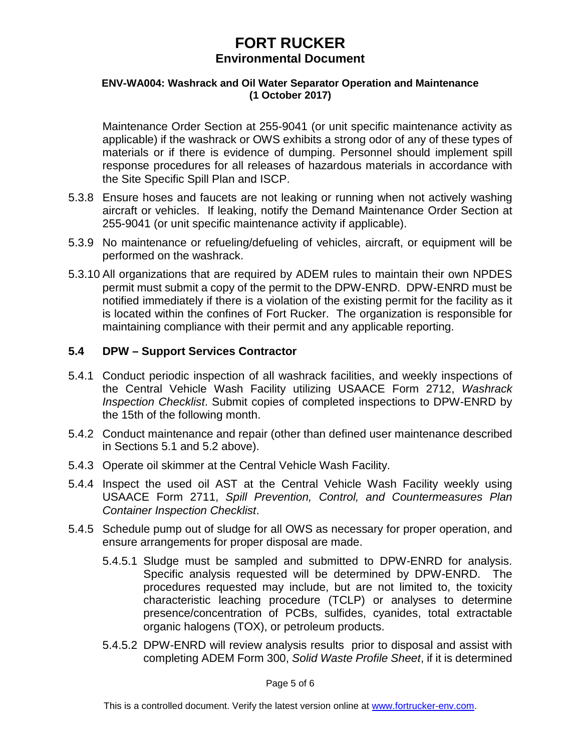#### **ENV-WA004: Washrack and Oil Water Separator Operation and Maintenance (1 October 2017)**

Maintenance Order Section at 255-9041 (or unit specific maintenance activity as applicable) if the washrack or OWS exhibits a strong odor of any of these types of materials or if there is evidence of dumping. Personnel should implement spill response procedures for all releases of hazardous materials in accordance with the Site Specific Spill Plan and ISCP.

- 5.3.8 Ensure hoses and faucets are not leaking or running when not actively washing aircraft or vehicles. If leaking, notify the Demand Maintenance Order Section at 255-9041 (or unit specific maintenance activity if applicable).
- 5.3.9 No maintenance or refueling/defueling of vehicles, aircraft, or equipment will be performed on the washrack.
- 5.3.10 All organizations that are required by ADEM rules to maintain their own NPDES permit must submit a copy of the permit to the DPW-ENRD. DPW-ENRD must be notified immediately if there is a violation of the existing permit for the facility as it is located within the confines of Fort Rucker. The organization is responsible for maintaining compliance with their permit and any applicable reporting.

## **5.4 DPW – Support Services Contractor**

- 5.4.1 Conduct periodic inspection of all washrack facilities, and weekly inspections of the Central Vehicle Wash Facility utilizing USAACE Form 2712, *Washrack Inspection Checklist*. Submit copies of completed inspections to DPW-ENRD by the 15th of the following month.
- 5.4.2 Conduct maintenance and repair (other than defined user maintenance described in Sections 5.1 and 5.2 above).
- 5.4.3 Operate oil skimmer at the Central Vehicle Wash Facility.
- 5.4.4 Inspect the used oil AST at the Central Vehicle Wash Facility weekly using USAACE Form 2711, *Spill Prevention, Control, and Countermeasures Plan Container Inspection Checklist*.
- 5.4.5 Schedule pump out of sludge for all OWS as necessary for proper operation, and ensure arrangements for proper disposal are made.
	- 5.4.5.1 Sludge must be sampled and submitted to DPW-ENRD for analysis. Specific analysis requested will be determined by DPW-ENRD. The procedures requested may include, but are not limited to, the toxicity characteristic leaching procedure (TCLP) or analyses to determine presence/concentration of PCBs, sulfides, cyanides, total extractable organic halogens (TOX), or petroleum products.
	- 5.4.5.2 DPW-ENRD will review analysis results prior to disposal and assist with completing ADEM Form 300, *Solid Waste Profile Sheet*, if it is determined

Page 5 of 6